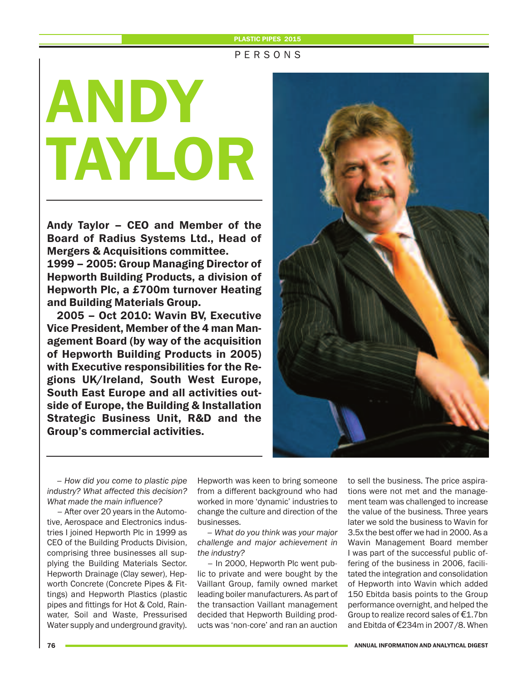## **PLASTIC PIPES 2015**

# P E R S O N S

# **ANDY TAYLOR**

**Andy Taylor – CEO and Member of the Board of Radius Systems Ltd., Head of Mergers & Acquisitions committee.**

**1999 – 2005: Group Managing Director of Hepworth Building Products, a division of Hepworth Plc, a £700m turnover Heating and Building Materials Group.** 

**2005 – Oct 2010: Wavin BV, Executive Vice President, Member of the 4 man Management Board (by way of the acquisition of Hepworth Building Products in 2005) with Executive responsibilities for the Regions UK/Ireland, South West Europe, South East Europe and all activities outside of Europe, the Building & Installation Strategic Business Unit, R&D and the Group's commercial activities.**



*– How did you come to plastic pipe industry? What affected this decision? What made the main influence?* 

– After over 20 years in the Automotive, Aerospace and Electronics industries I joined Hepworth Plc in 1999 as CEO of the Building Products Division, comprising three businesses all supplying the Building Materials Sector. Hepworth Drainage (Clay sewer), Hepworth Concrete (Concrete Pipes & Fittings) and Hepworth Plastics (plastic pipes and fittings for Hot & Cold, Rainwater, Soil and Waste, Pressurised Water supply and underground gravity). Hepworth was keen to bring someone from a different background who had worked in more 'dynamic' industries to change the culture and direction of the businesses.

*– What do you think was your major challenge and major achievement in the industry?* 

– In 2000, Hepworth Plc went public to private and were bought by the Vaillant Group, family owned market leading boiler manufacturers. As part of the transaction Vaillant management decided that Hepworth Building products was 'non-core' and ran an auction

to sell the business. The price aspirations were not met and the management team was challenged to increase the value of the business. Three years later we sold the business to Wavin for 3.5x the best offer we had in 2000. As a Wavin Management Board member I was part of the successful public offering of the business in 2006, facilitated the integration and consolidation of Hepworth into Wavin which added 150 Ebitda basis points to the Group performance overnight, and helped the Group to realize record sales of €1.7bn and Ebitda of €234m in 2007/8. When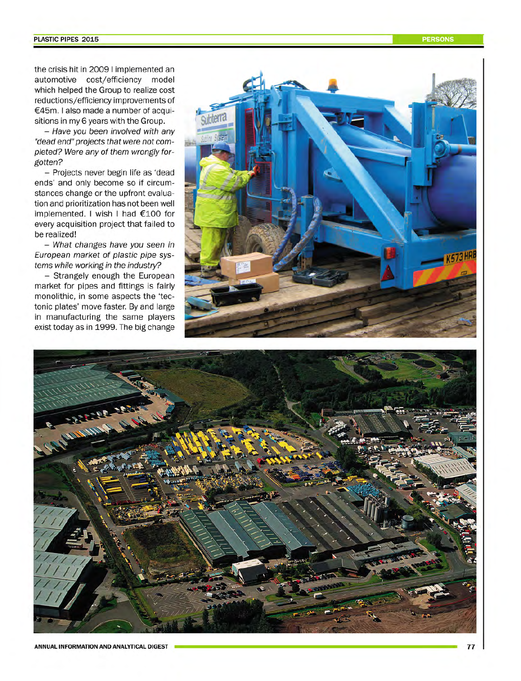the crisis hit in 2009 I implemented an automotive cost/efficiency model which helped the Group to realize cost reductions/efficiency improvements of €45m. I also made a number of acquisitions in my 6 years with the Group.

- Have you been involved with any "dead end" projects that were not completed? Were any of them wrongly forgotten?

- Projects never begin life as 'dead ends' and only become so if circumstances change or the upfront evaluation and prioritization has not been well implemented. I wish I had €100 for every acquisition project that failed to be realized!

- What changes have you seen in European market of plastic pipe systems while working in the industry?

- Strangely enough the European market for pipes and fittings is fairly monolithic, in some aspects the 'tectonic plates' move faster. By and large in manufacturing the same players exist today as in 1999. The big change



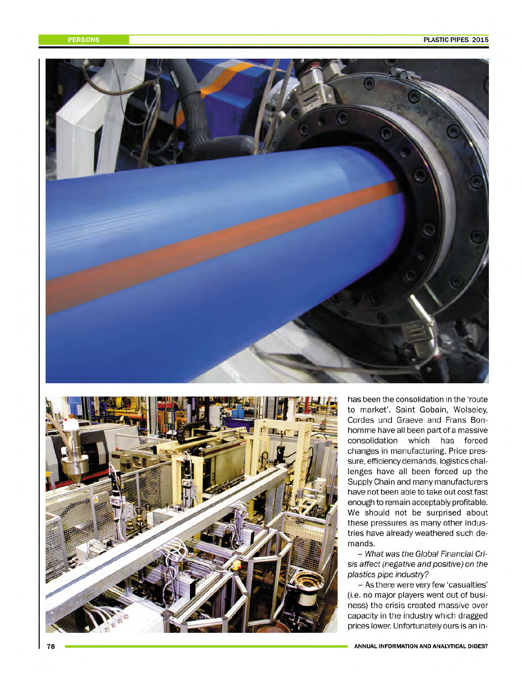



has been the consolidation in the 'route to market'. Saint Gobain, Wolseley, Cordes und Graeve and Frans Bonhomme have all been part of a massive consolidation which has forced changes in manufacturing. Price pressure, efficiency demands, logistics challenges have all been forced up the Supply Chain and many manufacturers have not been able to take out cost fast enough to remain acceptably profitable. We should not be surprised about these pressures as many other industries have already weathered such demands.

- What was the Global Financial Crisis affect (negative and positive) on the plastics pipe industry?

- As there were very few 'casualties' (i.e. no major players went out of business) the crisis created massive over capacity in the industry which dragged prices lower. Unfortunately ours is an in-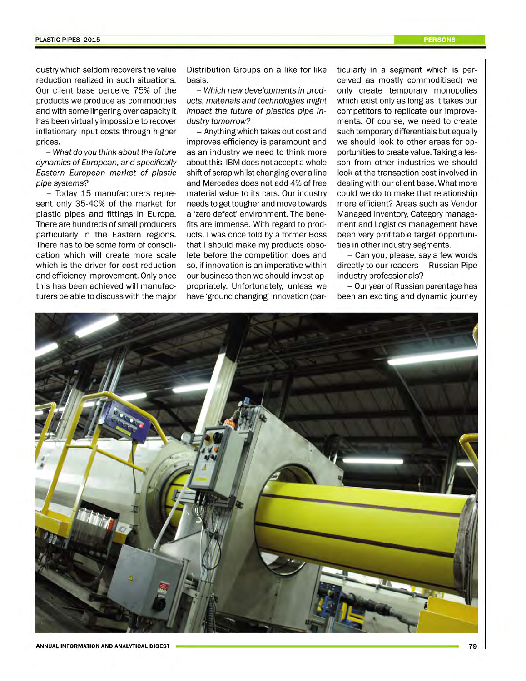### PLASTIC PIPES 2015

dustry which seldom recovers the value reduction realized in such situations. Our client base perceive 75% of the products we produce as commodities and with some lingering over capacity it has been virtually impossible to recover inflationary input costs through higher prices.

- What do you think about the future dynamics of European, and specifically Eastern European market of plastic pipe systems?

- Today 15 manufacturers represent only 35-40% of the market for plastic pipes and fittings in Europe. There are hundreds of small producers particularly in the Eastern regions. There has to be some form of consolidation which will create more scale which is the driver for cost reduction and efficiency improvement. Only once this has been achieved will manufacturers be able to discuss with the major Distribution Groups on a like for like basis.

- Which new developments in products, materials and technologies might impact the future of plastics pipe industry tomorrow?

- Anything which takes out cost and improves efficiency is paramount and as an industry we need to think more about this. IBM does not accept a whole shift of scrap whilst changing over a line and Mercedes does not add 4% of free material value to its cars. Our industry needs to get tougher and move towards a 'zero defect' environment. The benefits are immense. With regard to products. I was once told by a former Boss that I should make my products obsolete before the competition does and so, if innovation is an imperative within our business then we should invest appropriately. Unfortunately, unless we have 'ground changing' innovation (particularly in a segment which is perceived as mostly commoditised) we only create temporary monopolies which exist only as long as it takes our competitors to replicate our improvements. Of course, we need to create such temporary differentials but equally we should look to other areas for opportunities to create value. Taking a lesson from other industries we should look at the transaction cost involved in dealing with our client base. What more could we do to make that relationship more efficient? Areas such as Vendor Managed Inventory. Category management and Logistics management have been very profitable target opportunities in other industry segments.

- Can you, please, say a few words directly to our readers - Russian Pipe industry professionals?

- Our year of Russian parentage has been an exciting and dynamic journey